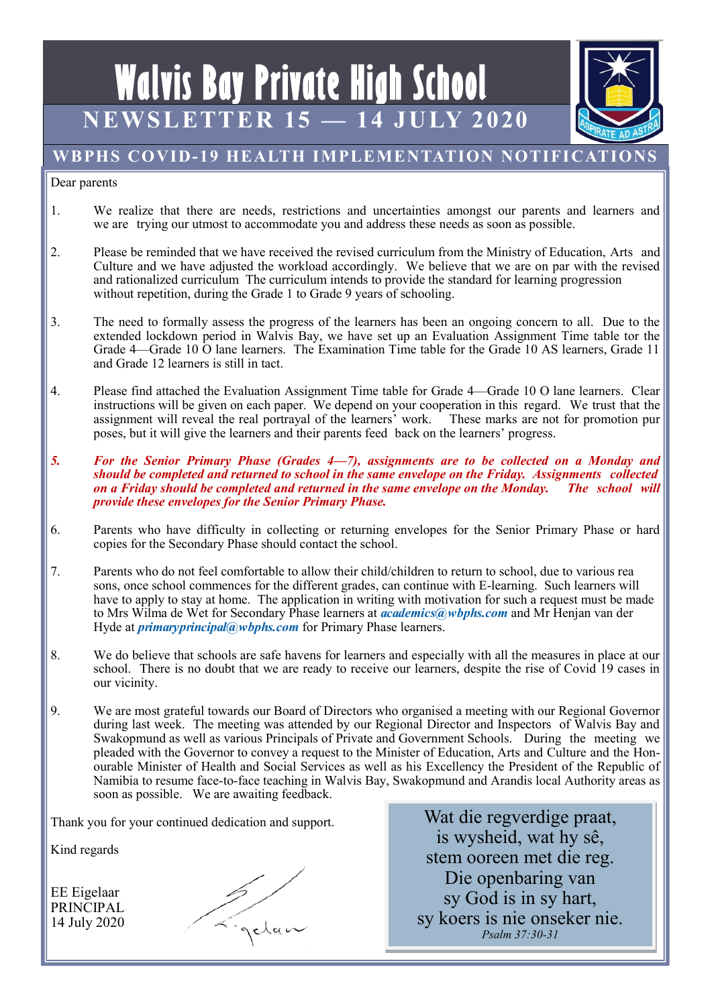# **Walvis Bay Private High School NEWSLETTER 15 — 14 JULY 2020**



# **WBPHS COVID-19 HEALTH IMPLEMENTATION NOTIFICATIONS**

#### Dear parents

- 1. We realize that there are needs, restrictions and uncertainties amongst our parents and learners and we are trying our utmost to accommodate you and address these needs as soon as possible.
- 2. Please be reminded that we have received the revised curriculum from the Ministry of Education, Arts and Culture and we have adjusted the workload accordingly. We believe that we are on par with the revised and rationalized curriculum The curriculum intends to provide the standard for learning progression without repetition, during the Grade 1 to Grade 9 years of schooling.
- 3. The need to formally assess the progress of the learners has been an ongoing concern to all. Due to the extended lockdown period in Walvis Bay, we have set up an Evaluation Assignment Time table tor the Grade 4—Grade 10 O lane learners. The Examination Time table for the Grade 10 AS learners, Grade 11 and Grade 12 learners is still in tact.
- 4. Please find attached the Evaluation Assignment Time table for Grade 4—Grade 10 O lane learners. Clear instructions will be given on each paper. We depend on your cooperation in this regard. We trust that the assignment will reveal the real portrayal of the learners' work. These marks are not for promotion pur poses, but it will give the learners and their parents feed back on the learners' progress.
- *5. For the Senior Primary Phase (Grades 4—7), assignments are to be collected on a Monday and should be completed and returned to school in the same envelope on the Friday. Assignments collected on a Friday should be completed and returned in the same envelope on the Monday. The school will provide these envelopes for the Senior Primary Phase.*
- 6. Parents who have difficulty in collecting or returning envelopes for the Senior Primary Phase or hard copies for the Secondary Phase should contact the school.
- 7. Parents who do not feel comfortable to allow their child/children to return to school, due to various rea sons, once school commences for the different grades, can continue with E-learning. Such learners will have to apply to stay at home. The application in writing with motivation for such a request must be made to Mrs Wilma de Wet for Secondary Phase learners at *academics@wbphs.com* and Mr Henjan van der Hyde at *primaryprincipal@wbphs.com* for Primary Phase learners.
- 8. We do believe that schools are safe havens for learners and especially with all the measures in place at our school. There is no doubt that we are ready to receive our learners, despite the rise of Covid 19 cases in our vicinity.
- 9. We are most grateful towards our Board of Directors who organised a meeting with our Regional Governor during last week. The meeting was attended by our Regional Director and Inspectors of Walvis Bay and Swakopmund as well as various Principals of Private and Government Schools. During the meeting we pleaded with the Governor to convey a request to the Minister of Education, Arts and Culture and the Honourable Minister of Health and Social Services as well as his Excellency the President of the Republic of Namibia to resume face-to-face teaching in Walvis Bay, Swakopmund and Arandis local Authority areas as soon as possible. We are awaiting feedback.

Thank you for your continued dedication and support.

Kind regards

EE Eigelaar PRINCIPAL 14 July 2020



Wat die regverdige praat, is wysheid, wat hy sê, stem ooreen met die reg. Die openbaring van sy God is in sy hart, sy koers is nie onseker nie. *Psalm 37:30-31*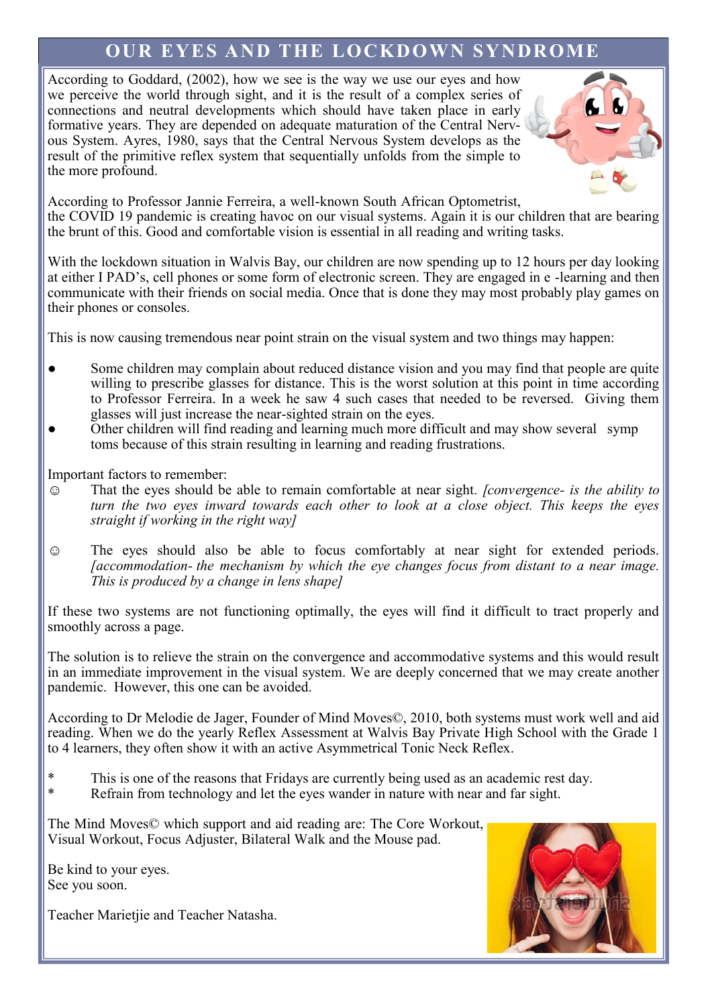# **OUR EYES AND THE LOCKDOWN SYNDROME**

According to Goddard, (2002), how we see is the way we use our eyes and how we perceive the world through sight, and it is the result of a complex series of connections and neutral developments which should have taken place in early formative years. They are depended on adequate maturation of the Central Nervous System. Ayres, 1980, says that the Central Nervous System develops as the result of the primitive reflex system that sequentially unfolds from the simple to the more profound.



According to Professor Jannie Ferreira, a well-known South African Optometrist, the COVID 19 pandemic is creating havoc on our visual systems. Again it is our children that are bearing the brunt of this. Good and comfortable vision is essential in all reading and writing tasks.

With the lockdown situation in Walvis Bay, our children are now spending up to 12 hours per day looking at either I PAD's, cell phones or some form of electronic screen. They are engaged in e -learning and then communicate with their friends on social media. Once that is done they may most probably play games on their phones or consoles.

This is now causing tremendous near point strain on the visual system and two things may happen:

- Some children may complain about reduced distance vision and you may find that people are quite willing to prescribe glasses for distance. This is the worst solution at this point in time according to Professor Ferreira. In a week he saw 4 such cases that needed to be reversed. Giving them glasses will just increase the near-sighted strain on the eyes.
- Other children will find reading and learning much more difficult and may show several symp toms because of this strain resulting in learning and reading frustrations.

Important factors to remember:

- ☺ That the eyes should be able to remain comfortable at near sight. *[convergence- is the ability to turn the two eyes inward towards each other to look at a close object. This keeps the eyes straight if working in the right way]*
- ☺ The eyes should also be able to focus comfortably at near sight for extended periods. *[accommodation- the mechanism by which the eye changes focus from distant to a near image. This is produced by a change in lens shape]*

If these two systems are not functioning optimally, the eyes will find it difficult to tract properly and smoothly across a page.

The solution is to relieve the strain on the convergence and accommodative systems and this would result in an immediate improvement in the visual system. We are deeply concerned that we may create another pandemic. However, this one can be avoided.

According to Dr Melodie de Jager, Founder of Mind Moves©, 2010, both systems must work well and aid reading. When we do the yearly Reflex Assessment at Walvis Bay Private High School with the Grade 1 to 4 learners, they often show it with an active Asymmetrical Tonic Neck Reflex.

- \* This is one of the reasons that Fridays are currently being used as an academic rest day.<br>Petrain from technology and let the aves wander in nature with near and for sight.
- Refrain from technology and let the eyes wander in nature with near and far sight.

The Mind Moves© which support and aid reading are: The Core Workout, Visual Workout, Focus Adjuster, Bilateral Walk and the Mouse pad.

Be kind to your eyes. See you soon.

Teacher Marietjie and Teacher Natasha.

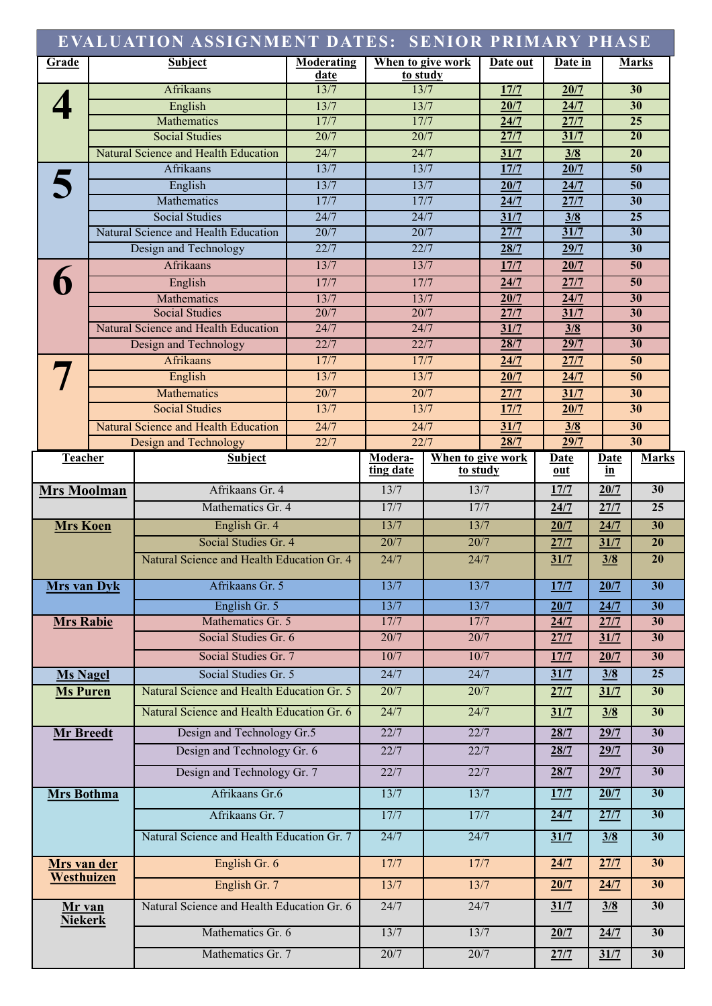|                           |  | EVALUATION ASSIGNMENT DATES: SENIOR PRIMARY PHASE             |                           |              |                               |              |             |               |                 |
|---------------------------|--|---------------------------------------------------------------|---------------------------|--------------|-------------------------------|--------------|-------------|---------------|-----------------|
| Grade                     |  | <b>Subject</b>                                                | <b>Moderating</b><br>date |              | When to give work<br>to study | Date out     | Date in     |               | <b>Marks</b>    |
|                           |  | <b>Afrikaans</b>                                              | 13/7                      |              | 13/7                          | 17/7         | 20/7        |               | 30              |
|                           |  | English                                                       | 13/7                      |              | 13/7                          | 20/7         | 24/7        |               | 30              |
|                           |  | Mathematics                                                   | 17/7                      |              | 17/7                          | 24/7         | 27/7        |               | $\overline{25}$ |
|                           |  | <b>Social Studies</b>                                         | 20/7                      |              | 20/7                          | 27/7         | 31/7        |               | $\overline{20}$ |
|                           |  | Natural Science and Health Education                          | 24/7                      |              | 24/7                          | 31/7         | 3/8         |               | 20              |
|                           |  | Afrikaans                                                     | 13/7                      |              | 13/7                          | 17/7         | 20/7        |               | 50              |
|                           |  | English                                                       | 13/7                      |              | 13/7                          | 20/7         | 24/7        |               | $\overline{50}$ |
|                           |  | Mathematics                                                   | 17/7                      |              | 17/7                          | 24/7         | 27/7        |               | $\overline{30}$ |
|                           |  | <b>Social Studies</b>                                         | 24/7                      |              | 24/7                          | 31/7         | 3/8         |               | $\overline{25}$ |
|                           |  | Natural Science and Health Education                          | 20/7                      |              | 20/7                          | 27/7         | 31/7        |               | $\overline{30}$ |
|                           |  | Design and Technology                                         | 22/7                      |              | 22/7                          | 28/7         | 29/7        |               | $\overline{30}$ |
|                           |  | Afrikaans                                                     |                           | 13/7<br>13/7 |                               | 17/7         | 20/7        |               | 50              |
|                           |  | English                                                       | 17/7                      | 17/7         |                               | 24/7         | 27/7        |               | 50              |
|                           |  | Mathematics                                                   | 13/7                      | 13/7<br>20/7 |                               | 20/7         | 24/7        |               | 30              |
|                           |  | <b>Social Studies</b><br>Natural Science and Health Education | 20/7<br>24/7              |              | 24/7                          | 27/7<br>31/7 | 31/7<br>3/8 |               | 30<br>30        |
|                           |  | Design and Technology                                         | 22/7                      |              | 22/7                          | 28/7         | 29/7        |               | 30              |
|                           |  | Afrikaans                                                     | 17/7                      |              | 17/7                          | 24/7         | 27/7        |               | 50              |
|                           |  | English                                                       | 13/7                      |              | 13/7                          | 20/7         | 24/7        |               | 50              |
|                           |  | Mathematics                                                   | 20/7                      |              | 20/7                          | 27/7         | 31/7        |               | 30              |
|                           |  | <b>Social Studies</b>                                         | 13/7                      |              | 13/7                          | 17/7         | 20/7        |               | 30              |
|                           |  | Natural Science and Health Education                          | 24/7                      |              | 24/7                          | 31/7         | 3/8         |               | 30              |
|                           |  | <b>Design and Technology</b>                                  | 22/7                      |              | 22/7                          | 28/7         | 29/7        |               | 30              |
| Teacher                   |  | <b>Subject</b>                                                |                           | Modera-      | When to give work             |              | <b>Date</b> | <u>Date</u>   | <b>Marks</b>    |
|                           |  |                                                               |                           | ting date    | to study                      |              | out         | in            |                 |
| <b>Mrs Moolman</b>        |  | Afrikaans Gr. 4                                               |                           | 13/7         | 13/7                          |              | 17/7        | 20/7          | 30              |
|                           |  | Mathematics Gr. 4                                             |                           | 17/7         | 17/7                          |              | 24/7        | 27/7          | $\overline{25}$ |
| <b>Mrs</b> Koen           |  | English Gr. 4                                                 |                           | 13/7         | 13/7                          |              | 20/7        | 24/7          | 30              |
|                           |  | Social Studies Gr. 4                                          |                           | 20/7         | 20/7                          |              | 27/7        | 31/7          | $\overline{20}$ |
|                           |  | Natural Science and Health Education Gr. 4                    |                           | 24/7         | 24/7                          |              | 31/7        | 3/8           | $\overline{20}$ |
| <b>Mrs</b> van Dyk        |  | Afrikaans Gr. 5                                               |                           | 13/7         | 13/7                          |              | 17/7        | 20/7          | $\overline{30}$ |
|                           |  | English Gr. 5                                                 |                           | 13/7         | 13/7                          |              | 20/7        | 24/7          | $\overline{30}$ |
| <b>Mrs Rabie</b>          |  | Mathematics Gr. 5                                             |                           | 17/7         | 17/7                          |              | 24/7        | 27/7          | $\overline{30}$ |
|                           |  | Social Studies Gr. 6                                          |                           | 20/7         | 20/7                          |              | 27/7        | 31/7          | 30              |
|                           |  | Social Studies Gr. 7                                          |                           | 10/7         | 10/7                          |              | 17/7        | 20/7          | 30              |
| <b>Ms Nagel</b>           |  | Social Studies Gr. 5                                          |                           | 24/7         | 24/7                          |              | 31/7        | $\frac{3}{8}$ | $\overline{25}$ |
| <b>Ms Puren</b>           |  | Natural Science and Health Education Gr. 5                    |                           | 20/7         | 20/7                          |              | 27/7        | 31/7          | 30              |
|                           |  | Natural Science and Health Education Gr. 6                    |                           | 24/7         | 24/7                          |              | 31/7        | 3/8           | 30              |
| <b>Mr Breedt</b>          |  | Design and Technology Gr.5                                    |                           | 22/7         | 22/7                          |              | 28/7        | 29/7          | 30              |
|                           |  | Design and Technology Gr. 6                                   |                           | 22/7         | 22/7                          |              | 28/7        | 29/7          | 30              |
|                           |  | Design and Technology Gr. 7                                   |                           | 22/7         | 22/7                          |              | 28/7        | 29/7          | 30              |
| <b>Mrs Bothma</b>         |  | Afrikaans Gr.6                                                |                           | 13/7         | 13/7                          |              | 17/7        | 20/7          | 30              |
|                           |  | Afrikaans Gr. 7                                               |                           | 17/7         | 17/7                          |              | 24/7        | 27/7          | 30              |
|                           |  | Natural Science and Health Education Gr. 7                    |                           | 24/7         | 24/7                          |              | 31/7        | 3/8           | 30              |
| Mrs van der<br>Westhuizen |  | English Gr. 6                                                 |                           | 17/7         | 17/7                          |              | 24/7        | 27/7          | 30              |
|                           |  | English Gr. 7                                                 |                           | 13/7         | 13/7                          |              | 20/7        | 24/7          | 30              |
| Mr van<br><b>Niekerk</b>  |  | Natural Science and Health Education Gr. 6                    |                           | 24/7         | 24/7                          |              | 31/7        | 3/8           | 30              |
|                           |  | Mathematics Gr. 6                                             |                           | 13/7         | 13/7                          |              | 20/7        | 24/7          | 30              |
|                           |  | Mathematics Gr. 7                                             | 20/7                      | 20/7         |                               | 27/7         | 31/7        | 30            |                 |